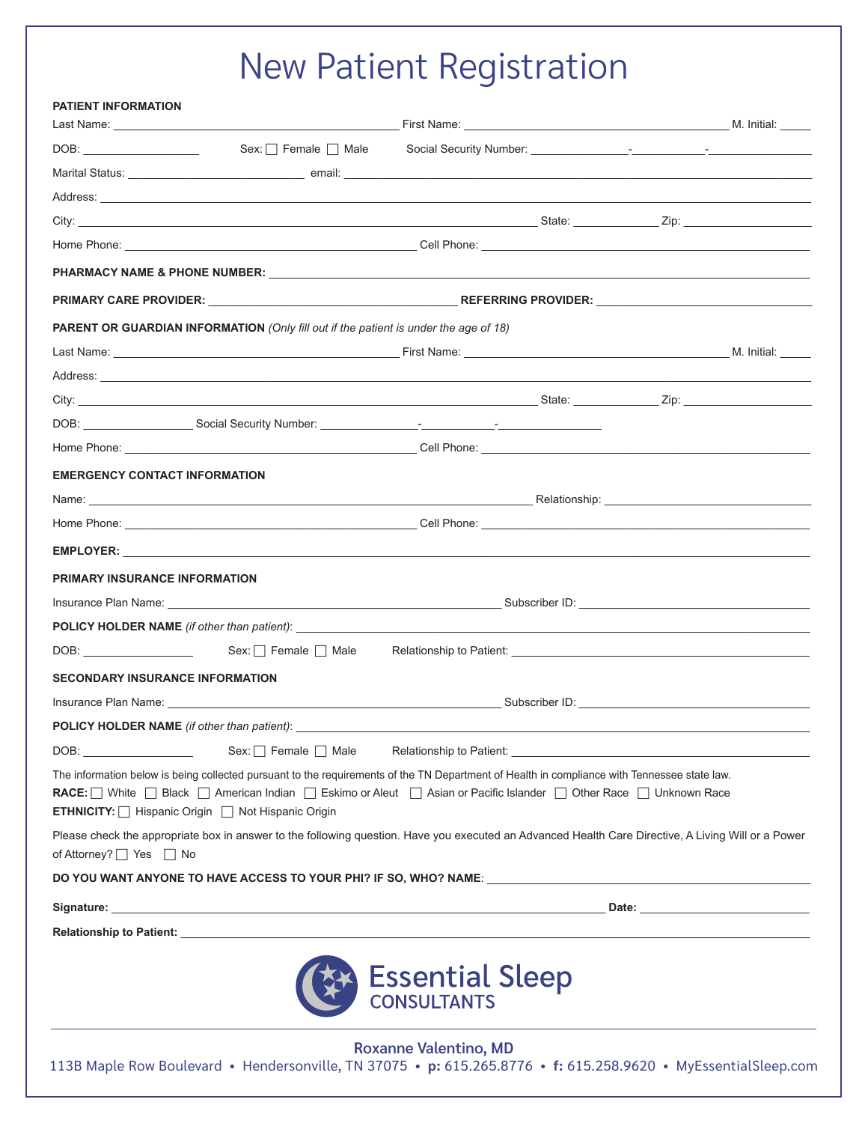## New Patient Registration

| <b>PATIENT INFORMATION</b>                         |                                                                                                                                                                                                                                                                                                                     |                 |  |  |
|----------------------------------------------------|---------------------------------------------------------------------------------------------------------------------------------------------------------------------------------------------------------------------------------------------------------------------------------------------------------------------|-----------------|--|--|
|                                                    |                                                                                                                                                                                                                                                                                                                     |                 |  |  |
|                                                    |                                                                                                                                                                                                                                                                                                                     |                 |  |  |
|                                                    |                                                                                                                                                                                                                                                                                                                     |                 |  |  |
|                                                    |                                                                                                                                                                                                                                                                                                                     |                 |  |  |
|                                                    |                                                                                                                                                                                                                                                                                                                     |                 |  |  |
|                                                    |                                                                                                                                                                                                                                                                                                                     |                 |  |  |
|                                                    |                                                                                                                                                                                                                                                                                                                     |                 |  |  |
|                                                    | PARENT OR GUARDIAN INFORMATION (Only fill out if the patient is under the age of 18)                                                                                                                                                                                                                                |                 |  |  |
|                                                    |                                                                                                                                                                                                                                                                                                                     |                 |  |  |
|                                                    |                                                                                                                                                                                                                                                                                                                     |                 |  |  |
|                                                    |                                                                                                                                                                                                                                                                                                                     |                 |  |  |
|                                                    |                                                                                                                                                                                                                                                                                                                     |                 |  |  |
|                                                    |                                                                                                                                                                                                                                                                                                                     |                 |  |  |
| <b>EMERGENCY CONTACT INFORMATION</b>               |                                                                                                                                                                                                                                                                                                                     |                 |  |  |
|                                                    |                                                                                                                                                                                                                                                                                                                     |                 |  |  |
|                                                    |                                                                                                                                                                                                                                                                                                                     |                 |  |  |
|                                                    |                                                                                                                                                                                                                                                                                                                     |                 |  |  |
| <b>PRIMARY INSURANCE INFORMATION</b>               |                                                                                                                                                                                                                                                                                                                     |                 |  |  |
|                                                    | Insurance Plan Name: <b>Market And The Contract Contract Contract Contract Contract Contract Contract Contract Contract Contract Contract Contract Contract Contract Contract Contract Contract Contract Contract Contract Contr</b>                                                                                |                 |  |  |
|                                                    |                                                                                                                                                                                                                                                                                                                     |                 |  |  |
|                                                    |                                                                                                                                                                                                                                                                                                                     |                 |  |  |
| <b>SECONDARY INSURANCE INFORMATION</b>             |                                                                                                                                                                                                                                                                                                                     |                 |  |  |
|                                                    |                                                                                                                                                                                                                                                                                                                     |                 |  |  |
| <b>POLICY HOLDER NAME</b> (if other than patient): |                                                                                                                                                                                                                                                                                                                     |                 |  |  |
| DOB:                                               |                                                                                                                                                                                                                                                                                                                     |                 |  |  |
|                                                    | The information below is being collected pursuant to the requirements of the TN Department of Health in compliance with Tennessee state law.<br>RACE: White Black   American Indian   Eskimo or Aleut   Asian or Pacific Islander   Other Race   Unknown Race<br>ETHNICITY:   Hispanic Origin   Not Hispanic Origin |                 |  |  |
| of Attorney? $\Box$ Yes $\Box$ No                  | Please check the appropriate box in answer to the following question. Have you executed an Advanced Health Care Directive, A Living Will or a Power                                                                                                                                                                 |                 |  |  |
|                                                    |                                                                                                                                                                                                                                                                                                                     |                 |  |  |
|                                                    |                                                                                                                                                                                                                                                                                                                     |                 |  |  |
|                                                    |                                                                                                                                                                                                                                                                                                                     |                 |  |  |
|                                                    |                                                                                                                                                                                                                                                                                                                     | Essential Sleep |  |  |

**Roxanne Valentino, MD** 113B Maple Row Boulevard • Hendersonville, TN 37075 • **p:** 615.265.8776 • **f:** 615.258.9620 • MyEssentialSleep.com